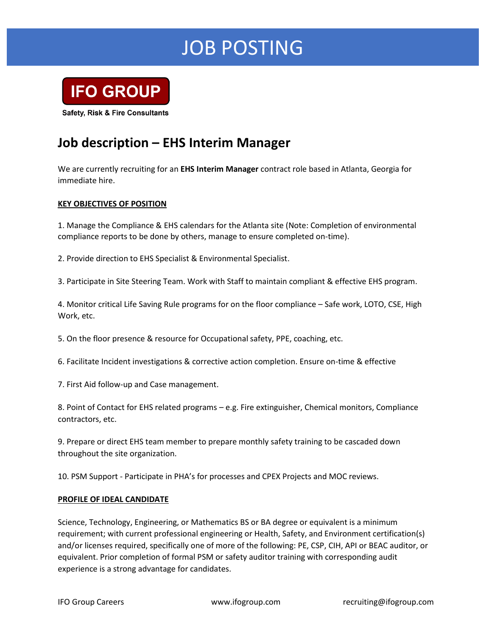# JOB POSTING



**Safety, Risk & Fire Consultants** 

### **Job description – EHS Interim Manager**

We are currently recruiting for an **EHS Interim Manager** contract role based in Atlanta, Georgia for immediate hire.

### **KEY OBJECTIVES OF POSITION**

1. Manage the Compliance & EHS calendars for the Atlanta site (Note: Completion of environmental compliance reports to be done by others, manage to ensure completed on-time).

2. Provide direction to EHS Specialist & Environmental Specialist.

3. Participate in Site Steering Team. Work with Staff to maintain compliant & effective EHS program.

4. Monitor critical Life Saving Rule programs for on the floor compliance – Safe work, LOTO, CSE, High Work, etc.

5. On the floor presence & resource for Occupational safety, PPE, coaching, etc.

6. Facilitate Incident investigations & corrective action completion. Ensure on-time & effective

7. First Aid follow-up and Case management.

8. Point of Contact for EHS related programs – e.g. Fire extinguisher, Chemical monitors, Compliance contractors, etc.

9. Prepare or direct EHS team member to prepare monthly safety training to be cascaded down throughout the site organization.

10. PSM Support - Participate in PHA's for processes and CPEX Projects and MOC reviews.

#### **PROFILE OF IDEAL CANDIDATE**

Science, Technology, Engineering, or Mathematics BS or BA degree or equivalent is a minimum requirement; with current professional engineering or Health, Safety, and Environment certification(s) and/or licenses required, specifically one of more of the following: PE, CSP, CIH, API or BEAC auditor, or equivalent. Prior completion of formal PSM or safety auditor training with corresponding audit experience is a strong advantage for candidates.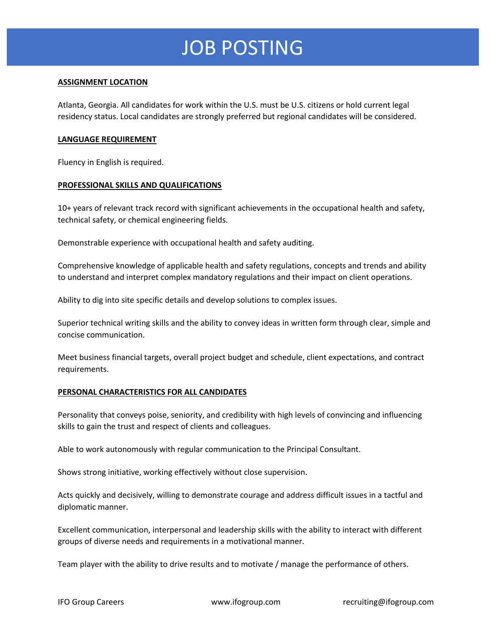# JOB POSTING

### **ASSIGNMENT LOCATION**

Atlanta, Georgia. All candidates for work within the U.S. must be U.S. citizens or hold current legal residency status. Local candidates are strongly preferred but regional candidates will be considered.

#### **LANGUAGE REQUIREMENT**

Fluency in English is required.

#### **PROFESSIONAL SKILLS AND QUALIFICATIONS**

10+ years of relevant track record with significant achievements in the occupational health and safety, technical safety, or chemical engineering fields.

Demonstrable experience with occupational health and safety auditing.

Comprehensive knowledge of applicable health and safety regulations, concepts and trends and ability to understand and interpret complex mandatory regulations and their impact on client operations.

Ability to dig into site specific details and develop solutions to complex issues.

Superior technical writing skills and the ability to convey ideas in written form through clear, simple and concise communication.

Meet business financial targets, overall project budget and schedule, client expectations, and contract requirements.

#### **PERSONAL CHARACTERISTICS FOR ALL CANDIDATES**

Personality that conveys poise, seniority, and credibility with high levels of convincing and influencing skills to gain the trust and respect of clients and colleagues.

Able to work autonomously with regular communication to the Principal Consultant.

Shows strong initiative, working effectively without close supervision.

Acts quickly and decisively, willing to demonstrate courage and address difficult issues in a tactful and diplomatic manner.

Excellent communication, interpersonal and leadership skills with the ability to interact with different groups of diverse needs and requirements in a motivational manner.

Team player with the ability to drive results and to motivate / manage the performance of others.